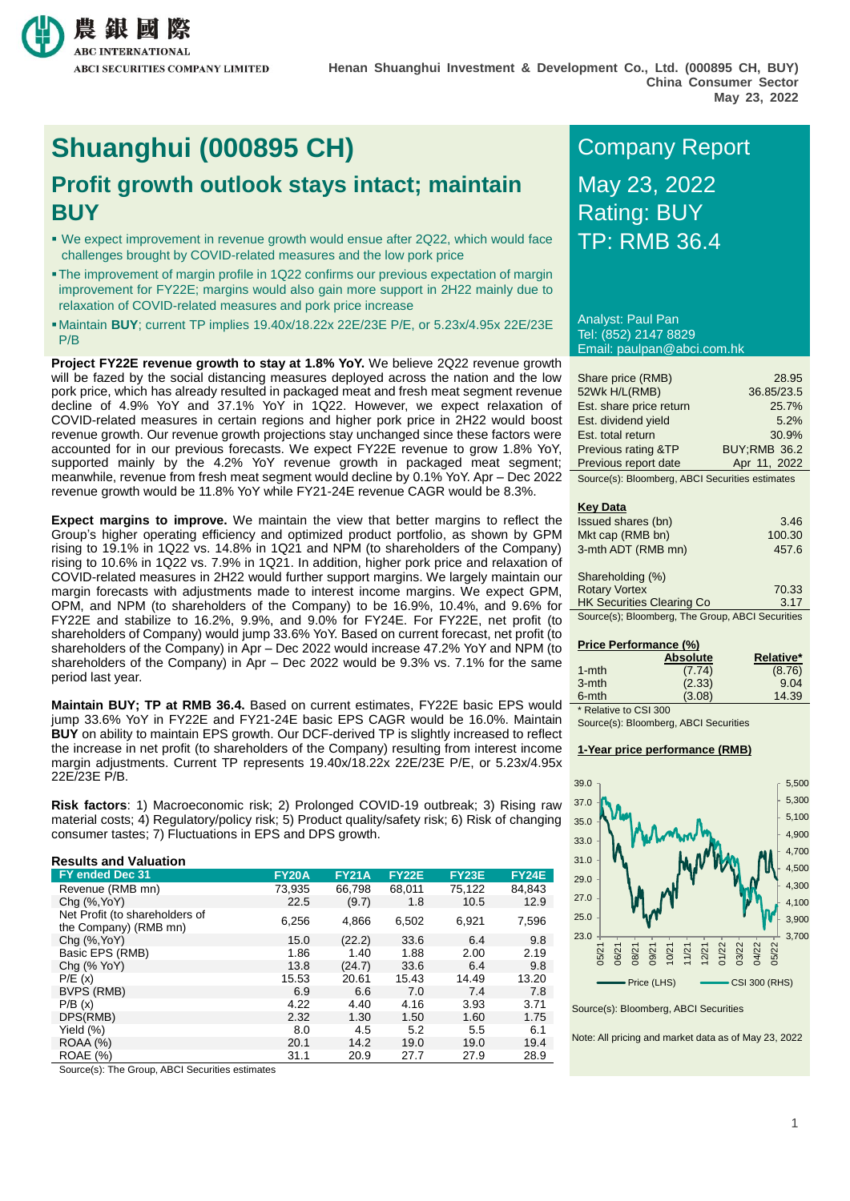

# **Shuanghui (000895 CH)** Company Report

## **Profit growth outlook stays intact; maintain BUY**

- We expect improvement in revenue growth would ensue after 2Q22, which would face TP: RMB 36.4 challenges brought by COVID-related measures and the low pork price
- The improvement of margin profile in 1Q22 confirms our previous expectation of margin improvement for FY22E; margins would also gain more support in 2H22 mainly due to relaxation of COVID-related measures and pork price increase
- Maintain **BUY**; current TP implies 19.40x/18.22x 22E/23E P/E, or 5.23x/4.95x 22E/23E P/B

**Project FY22E revenue growth to stay at 1.8% YoY.** We believe 2Q22 revenue growth will be fazed by the social distancing measures deployed across the nation and the low pork price, which has already resulted in packaged meat and fresh meat segment revenue decline of 4.9% YoY and 37.1% YoY in 1Q22. However, we expect relaxation of COVID-related measures in certain regions and higher pork price in 2H22 would boost revenue growth. Our revenue growth projections stay unchanged since these factors were accounted for in our previous forecasts. We expect FY22E revenue to grow 1.8% YoY, supported mainly by the 4.2% YoY revenue growth in packaged meat segment; meanwhile, revenue from fresh meat segment would decline by 0.1% YoY. Apr – Dec 2022 revenue growth would be 11.8% YoY while FY21-24E revenue CAGR would be 8.3%.

**Expect margins to improve.** We maintain the view that better margins to reflect the Group's higher operating efficiency and optimized product portfolio, as shown by GPM rising to 19.1% in 1Q22 vs. 14.8% in 1Q21 and NPM (to shareholders of the Company) rising to 10.6% in 1Q22 vs. 7.9% in 1Q21. In addition, higher pork price and relaxation of COVID-related measures in 2H22 would further support margins. We largely maintain our margin forecasts with adjustments made to interest income margins. We expect GPM, OPM, and NPM (to shareholders of the Company) to be 16.9%, 10.4%, and 9.6% for FY22E and stabilize to 16.2%, 9.9%, and 9.0% for FY24E. For FY22E, net profit (to shareholders of Company) would jump 33.6% YoY. Based on current forecast, net profit (to shareholders of the Company) in Apr – Dec 2022 would increase 47.2% YoY and NPM (to shareholders of the Company) in Apr – Dec 2022 would be 9.3% vs. 7.1% for the same period last year.

**Maintain BUY; TP at RMB 36.4.** Based on current estimates, FY22E basic EPS would jump 33.6% YoY in FY22E and FY21-24E basic EPS CAGR would be 16.0%. Maintain **BUY** on ability to maintain EPS growth. Our DCF-derived TP is slightly increased to reflect the increase in net profit (to shareholders of the Company) resulting from interest income margin adjustments. Current TP represents 19.40x/18.22x 22E/23E P/E, or 5.23x/4.95x 22E/23E P/B.

**Risk factors**: 1) Macroeconomic risk; 2) Prolonged COVID-19 outbreak; 3) Rising raw material costs; 4) Regulatory/policy risk; 5) Product quality/safety risk; 6) Risk of changing consumer tastes; 7) Fluctuations in EPS and DPS growth.

#### **Results and Valuation FY ended Dec 31 FY20A FY21A FY22E FY23E FY24E** Revenue (RMB mn) 73,935 66,798 68,011 75,122 84,843 Chg (%,YoY) 22.5 (9.7) 1.8 10.5 12.9 Net Profit (to shareholders of the Company) (RMB mn) 6,256 4,866 6,502 6,921 7,596 Chg (%,YoY) 15.0 (22.2) 33.6 6.4 9.8 Basic EPS (RMB) 1.86 1.40 1.88 2.00 2.19 Chg (% YoY)  $\overline{)$  13.8 (24.7) 33.6 6.4 9.8 P/E (x) 15.53 20.61 15.43 14.49 13.20 BVPS (RMB) 6.9 6.6 7.0 7.4 7.8<br>P/B (x) 8.9 4.22 4.40 4.16 3.93 3.71 P/B (x) 4.22 4.40 4.16 3.93 3.71 DPS(RMB) 2.32 1.30 1.50 1.60 1.75 Yield (%) 8.0 4.5 5.2 5.5 6.1 ROAA (%) 20.1 14.2 19.0 19.0 19.4 ROAE (%) 31.1 20.9 27.7 27.9 28.9

Source(s): The Group, ABCI Securities estimates

# May 23, 2022 Rating: BUY

Analyst: Paul Pan Tel: (852) 2147 8829 Email: paulpan@abci.com.hk

| Share price (RMB)       | 28.95               |
|-------------------------|---------------------|
| 52Wk H/L(RMB)           | 36.85/23.5          |
| Est. share price return | 25.7%               |
| Est. dividend yield     | 5.2%                |
| Est. total return       | 30.9%               |
| Previous rating &TP     | <b>BUY:RMB 36.2</b> |
| Previous report date    | Apr 11, 2022        |

Source(s): Bloomberg, ABCI Securities estimates

#### **Key Data**

| Issued shares (bn)                               | 3.46   |
|--------------------------------------------------|--------|
| Mkt cap (RMB bn)                                 | 100.30 |
| 3-mth ADT (RMB mn)                               | 457.6  |
| Shareholding (%)                                 |        |
| <b>Rotary Vortex</b>                             | 70.33  |
| <b>HK Securities Clearing Co</b>                 | 3.17   |
| Source(s); Bloomberg, The Group, ABCI Securities |        |

#### **Price Performance (%)**

| <b>Absolute</b> | Relative* |
|-----------------|-----------|
| (7.74)          | (8.76)    |
| (2.33)          | 9.04      |
| (3.08)          | 14.39     |
|                 |           |

\* Relative to CSI 300 Source(s): Bloomberg, ABCI Securities

### **1-Year price performance (RMB)**



Source(s): Bloomberg, ABCI Securities

Note: All pricing and market data as of May 23, 2022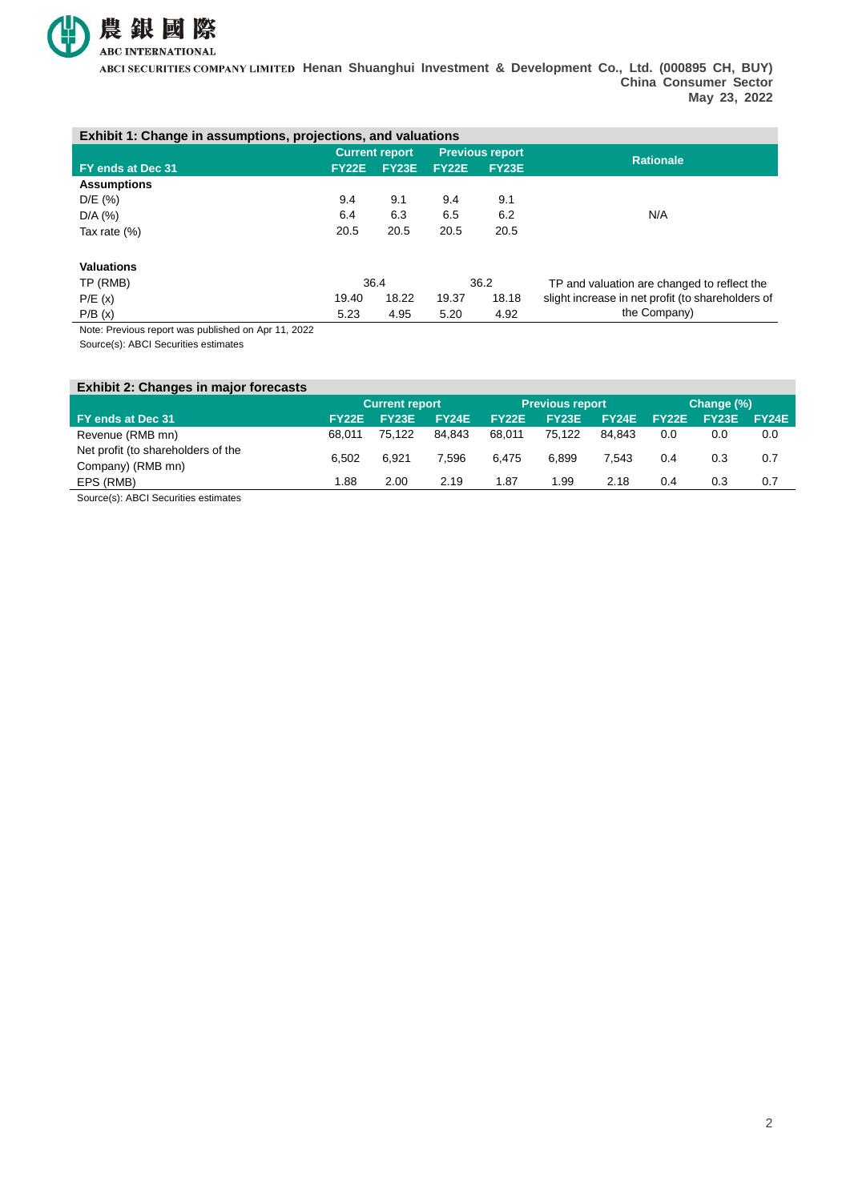

**Henan Shuanghui Investment & Development Co., Ltd. (000895 CH, BUY) China Consumer Sector May 23, 2022**

| Exhibit 1: Change in assumptions, projections, and valuations |                       |              |                        |              |                                                   |  |  |
|---------------------------------------------------------------|-----------------------|--------------|------------------------|--------------|---------------------------------------------------|--|--|
|                                                               | <b>Current report</b> |              | <b>Previous report</b> |              | <b>Rationale</b>                                  |  |  |
| FY ends at Dec 31                                             | <b>FY22E</b>          | <b>FY23E</b> | <b>FY22E</b>           | <b>FY23E</b> |                                                   |  |  |
| <b>Assumptions</b>                                            |                       |              |                        |              |                                                   |  |  |
| D/E (%)                                                       | 9.4                   | 9.1          | 9.4                    | 9.1          |                                                   |  |  |
| $D/A$ (%)                                                     | 6.4                   | 6.3          | 6.5                    | 6.2          | N/A                                               |  |  |
| Tax rate (%)                                                  | 20.5                  | 20.5         | 20.5                   | 20.5         |                                                   |  |  |
| <b>Valuations</b>                                             |                       |              |                        |              |                                                   |  |  |
| TP (RMB)                                                      | 36.4                  |              | 36.2                   |              | TP and valuation are changed to reflect the       |  |  |
| P/E(x)                                                        | 19.40                 | 18.22        | 19.37                  | 18.18        | slight increase in net profit (to shareholders of |  |  |
| P/B(x)                                                        | 5.23                  | 4.95         | 5.20                   | 4.92         | the Company)                                      |  |  |

Note: Previous report was published on Apr 11, 2022

Source(s): ABCI Securities estimates

| <b>Exhibit 2: Changes in major forecasts</b>   |        |                       |              |              |                        |        |       |            |              |
|------------------------------------------------|--------|-----------------------|--------------|--------------|------------------------|--------|-------|------------|--------------|
|                                                |        | <b>Current report</b> |              |              | <b>Previous report</b> |        |       | Change (%) |              |
| FY ends at Dec 31                              | FY22E  | <b>FY23E</b>          | <b>FY24E</b> | <b>FY22E</b> | <b>FY23E</b>           | FY24E  | FY22E | FY23E      | <b>FY24E</b> |
| Revenue (RMB mn)                               | 68.011 | 75.122                | 84.843       | 68.011       | 75.122                 | 84.843 | 0.0   | 0.0        | 0.0          |
| Net profit (to shareholders of the             | 6.502  | 6.921                 | 7.596        | 6.475        | 6.899                  | 7.543  | 0.4   | 0.3        | 0.7          |
| Company) (RMB mn)                              |        |                       |              |              |                        |        |       |            |              |
| EPS (RMB)                                      | 1.88   | 2.00                  | 2.19         | 1.87         | 1.99                   | 2.18   | 0.4   | 0.3        | 0.7          |
| $\sim$ $\sim$ $\sim$ $\sim$ $\sim$<br>$\cdots$ |        |                       |              |              |                        |        |       |            |              |

Source(s): ABCI Securities estimates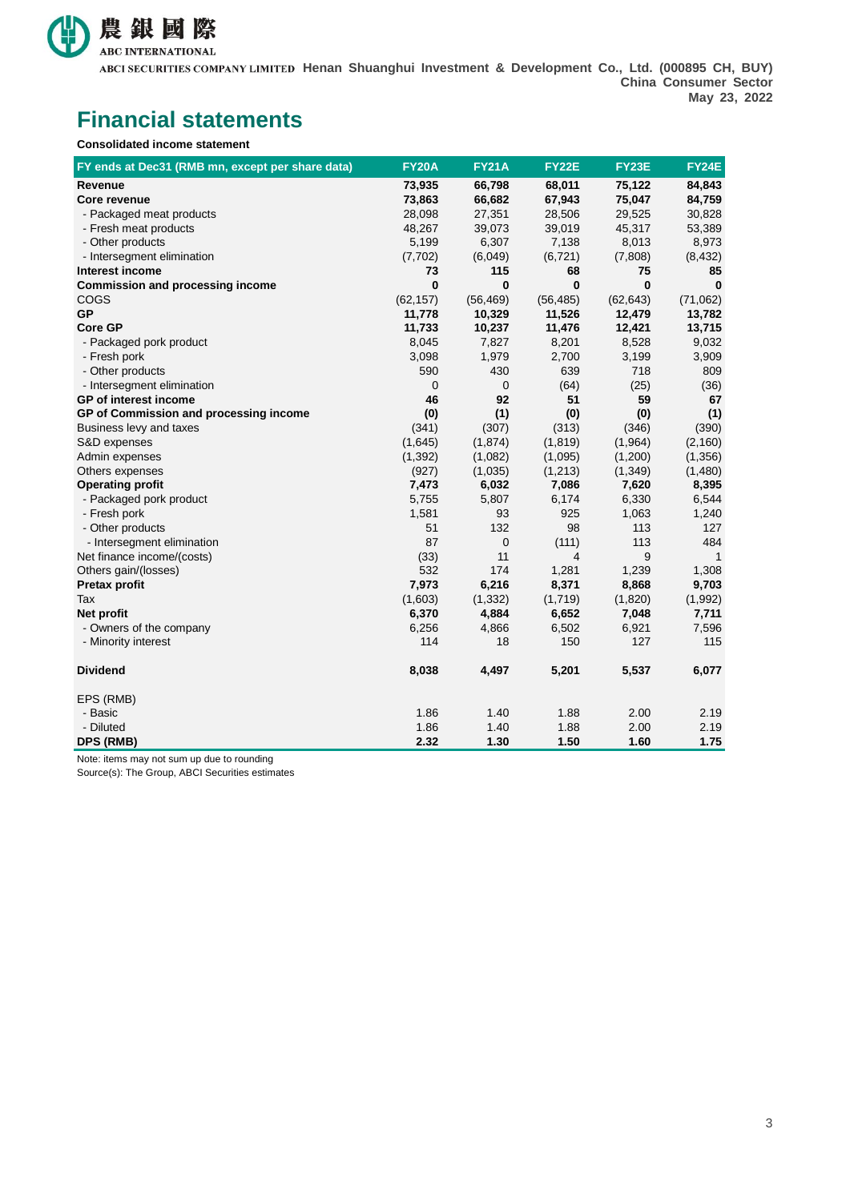

**Henan Shuanghui Investment & Development Co., Ltd. (000895 CH, BUY) China Consumer Sector May 23, 2022**

## **Financial statements**

**Consolidated income statement**

| FY ends at Dec31 (RMB mn, except per share data) | <b>FY20A</b> | <b>FY21A</b> | <b>FY22E</b> | FY23E     | <b>FY24E</b> |
|--------------------------------------------------|--------------|--------------|--------------|-----------|--------------|
| Revenue                                          | 73,935       | 66,798       | 68,011       | 75,122    | 84,843       |
| <b>Core revenue</b>                              | 73,863       | 66,682       | 67,943       | 75,047    | 84,759       |
| - Packaged meat products                         | 28,098       | 27,351       | 28,506       | 29,525    | 30,828       |
| - Fresh meat products                            | 48,267       | 39,073       | 39,019       | 45,317    | 53,389       |
| - Other products                                 | 5,199        | 6,307        | 7,138        | 8,013     | 8,973        |
| - Intersegment elimination                       | (7, 702)     | (6,049)      | (6, 721)     | (7,808)   | (8, 432)     |
| Interest income                                  | 73           | 115          | 68           | 75        | 85           |
| <b>Commission and processing income</b>          | $\bf{0}$     | 0            | 0            | 0         | $\bf{0}$     |
| COGS                                             | (62, 157)    | (56, 469)    | (56, 485)    | (62, 643) | (71,062)     |
| <b>GP</b>                                        | 11,778       | 10,329       | 11,526       | 12,479    | 13,782       |
| <b>Core GP</b>                                   | 11,733       | 10,237       | 11,476       | 12,421    | 13,715       |
| - Packaged pork product                          | 8,045        | 7,827        | 8,201        | 8,528     | 9,032        |
| - Fresh pork                                     | 3,098        | 1,979        | 2,700        | 3,199     | 3,909        |
| - Other products                                 | 590          | 430          | 639          | 718       | 809          |
| - Intersegment elimination                       | 0            | 0            | (64)         | (25)      | (36)         |
| GP of interest income                            | 46           | 92           | 51           | 59        | 67           |
| GP of Commission and processing income           | (0)          | (1)          | (0)          | (0)       | (1)          |
| Business levy and taxes                          | (341)        | (307)        | (313)        | (346)     | (390)        |
| S&D expenses                                     | (1,645)      | (1, 874)     | (1, 819)     | (1,964)   | (2, 160)     |
| Admin expenses                                   | (1, 392)     | (1,082)      | (1,095)      | (1,200)   | (1, 356)     |
| Others expenses                                  | (927)        | (1,035)      | (1, 213)     | (1, 349)  | (1,480)      |
| <b>Operating profit</b>                          | 7,473        | 6,032        | 7,086        | 7,620     | 8,395        |
| - Packaged pork product                          | 5,755        | 5,807        | 6,174        | 6,330     | 6,544        |
| - Fresh pork                                     | 1,581        | 93           | 925          | 1,063     | 1,240        |
| - Other products                                 | 51           | 132          | 98           | 113       | 127          |
| - Intersegment elimination                       | 87           | 0            | (111)        | 113       | 484          |
| Net finance income/(costs)                       | (33)         | 11           | 4            | 9         | $\mathbf{1}$ |
| Others gain/(losses)                             | 532          | 174          | 1,281        | 1,239     | 1,308        |
| <b>Pretax profit</b>                             | 7,973        | 6,216        | 8,371        | 8,868     | 9,703        |
| Tax                                              | (1,603)      | (1, 332)     | (1,719)      | (1,820)   | (1,992)      |
| Net profit                                       | 6,370        | 4,884        | 6,652        | 7,048     | 7,711        |
| - Owners of the company                          | 6,256        | 4,866        | 6,502        | 6,921     | 7,596        |
| - Minority interest                              | 114          | 18           | 150          | 127       | 115          |
| <b>Dividend</b>                                  | 8,038        | 4,497        | 5,201        | 5,537     | 6,077        |
| EPS (RMB)                                        |              |              |              |           |              |
| - Basic                                          | 1.86         | 1.40         | 1.88         | 2.00      | 2.19         |
| - Diluted                                        | 1.86         | 1.40         | 1.88         | 2.00      | 2.19         |
| DPS (RMB)                                        | 2.32         | 1.30         | 1.50         | 1.60      | 1.75         |

Note: items may not sum up due to rounding

Source(s): The Group, ABCI Securities estimates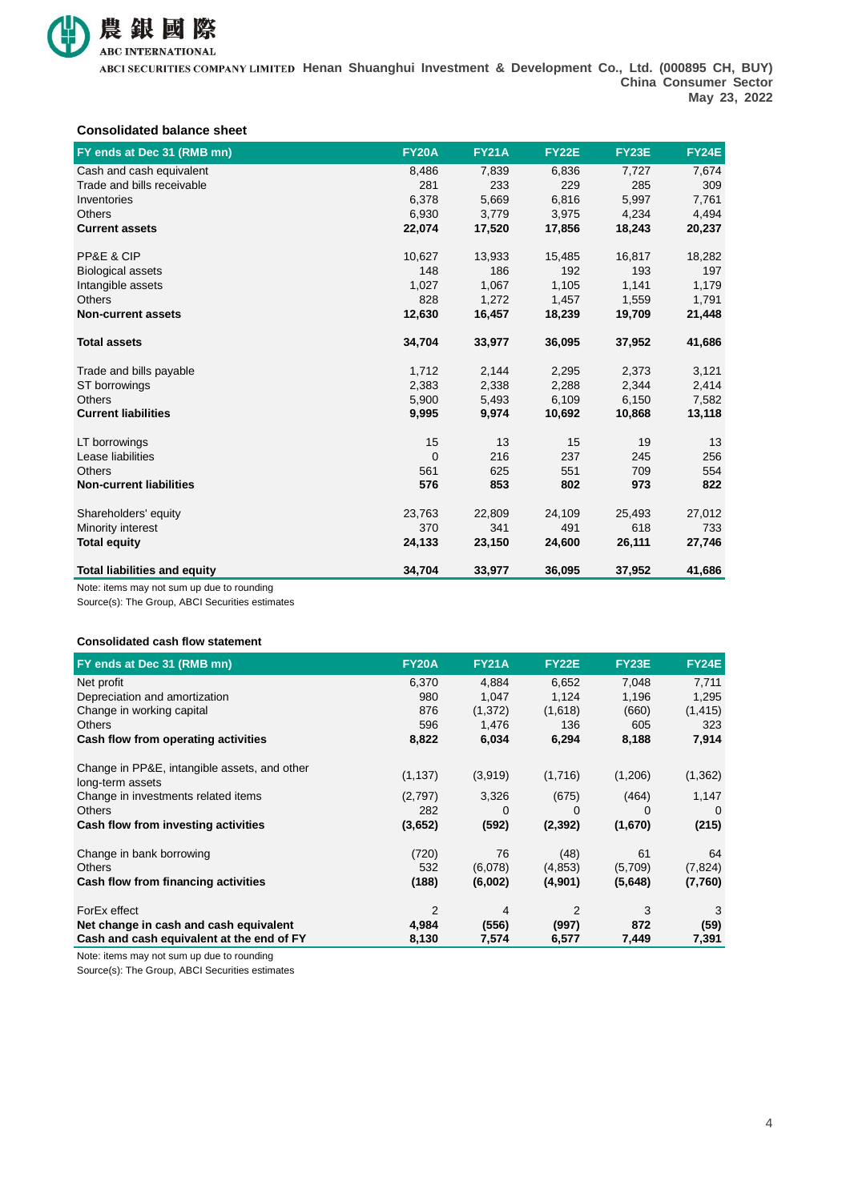

**Henan Shuanghui Investment & Development Co., Ltd. (000895 CH, BUY) China Consumer Sector May 23, 2022**

#### **Consolidated balance sheet**

| FY ends at Dec 31 (RMB mn)          | <b>FY20A</b> | <b>FY21A</b> | <b>FY22E</b> | <b>FY23E</b> | <b>FY24E</b> |
|-------------------------------------|--------------|--------------|--------------|--------------|--------------|
| Cash and cash equivalent            | 8,486        | 7,839        | 6,836        | 7,727        | 7,674        |
| Trade and bills receivable          | 281          | 233          | 229          | 285          | 309          |
| Inventories                         | 6,378        | 5,669        | 6,816        | 5,997        | 7,761        |
| <b>Others</b>                       | 6,930        | 3,779        | 3,975        | 4,234        | 4,494        |
| <b>Current assets</b>               | 22,074       | 17,520       | 17,856       | 18,243       | 20,237       |
| PP&E & CIP                          | 10,627       | 13,933       | 15,485       | 16,817       | 18,282       |
| <b>Biological assets</b>            | 148          | 186          | 192          | 193          | 197          |
| Intangible assets                   | 1,027        | 1,067        | 1,105        | 1,141        | 1,179        |
| <b>Others</b>                       | 828          | 1,272        | 1,457        | 1,559        | 1,791        |
| <b>Non-current assets</b>           | 12,630       | 16,457       | 18,239       | 19,709       | 21,448       |
| <b>Total assets</b>                 | 34,704       | 33,977       | 36,095       | 37,952       | 41,686       |
| Trade and bills payable             | 1,712        | 2,144        | 2,295        | 2,373        | 3,121        |
| ST borrowings                       | 2,383        | 2,338        | 2,288        | 2,344        | 2,414        |
| <b>Others</b>                       | 5,900        | 5,493        | 6,109        | 6,150        | 7,582        |
| <b>Current liabilities</b>          | 9,995        | 9,974        | 10,692       | 10,868       | 13,118       |
| LT borrowings                       | 15           | 13           | 15           | 19           | 13           |
| Lease liabilities                   | $\mathbf 0$  | 216          | 237          | 245          | 256          |
| <b>Others</b>                       | 561          | 625          | 551          | 709          | 554          |
| <b>Non-current liabilities</b>      | 576          | 853          | 802          | 973          | 822          |
| Shareholders' equity                | 23,763       | 22,809       | 24,109       | 25,493       | 27,012       |
| Minority interest                   | 370          | 341          | 491          | 618          | 733          |
| <b>Total equity</b>                 | 24,133       | 23,150       | 24,600       | 26,111       | 27,746       |
| <b>Total liabilities and equity</b> | 34,704       | 33,977       | 36,095       | 37,952       | 41,686       |

Note: items may not sum up due to rounding

Source(s): The Group, ABCI Securities estimates

#### **Consolidated cash flow statement**

| FY ends at Dec 31 (RMB mn)                   | <b>FY20A</b>   | <b>FY21A</b> | <b>FY22E</b> | <b>FY23E</b> | <b>FY24E</b> |
|----------------------------------------------|----------------|--------------|--------------|--------------|--------------|
| Net profit                                   | 6,370          | 4,884        | 6,652        | 7,048        | 7,711        |
| Depreciation and amortization                | 980            | 1,047        | 1,124        | 1,196        | 1,295        |
| Change in working capital                    | 876            | (1,372)      | (1,618)      | (660)        | (1, 415)     |
| <b>Others</b>                                | 596            | 1,476        | 136          | 605          | 323          |
| Cash flow from operating activities          | 8,822          | 6,034        | 6,294        | 8,188        | 7,914        |
| Change in PP&E, intangible assets, and other |                |              |              |              |              |
| long-term assets                             | (1, 137)       | (3,919)      | (1,716)      | (1,206)      | (1, 362)     |
| Change in investments related items          | (2,797)        | 3,326        | (675)        | (464)        | 1,147        |
| <b>Others</b>                                | 282            | 0            | 0            | 0            | $\Omega$     |
| Cash flow from investing activities          | (3,652)        | (592)        | (2, 392)     | (1,670)      | (215)        |
| Change in bank borrowing                     | (720)          | 76           | (48)         | 61           | 64           |
| <b>Others</b>                                | 532            | (6,078)      | (4,853)      | (5,709)      | (7, 824)     |
| Cash flow from financing activities          | (188)          | (6,002)      | (4,901)      | (5,648)      | (7,760)      |
| ForEx effect                                 | $\overline{2}$ | 4            | 2            | 3            | 3            |
| Net change in cash and cash equivalent       | 4,984          | (556)        | (997)        | 872          | (59)         |
| Cash and cash equivalent at the end of FY    | 8,130          | 7,574        | 6,577        | 7,449        | 7,391        |

Note: items may not sum up due to rounding

Source(s): The Group, ABCI Securities estimates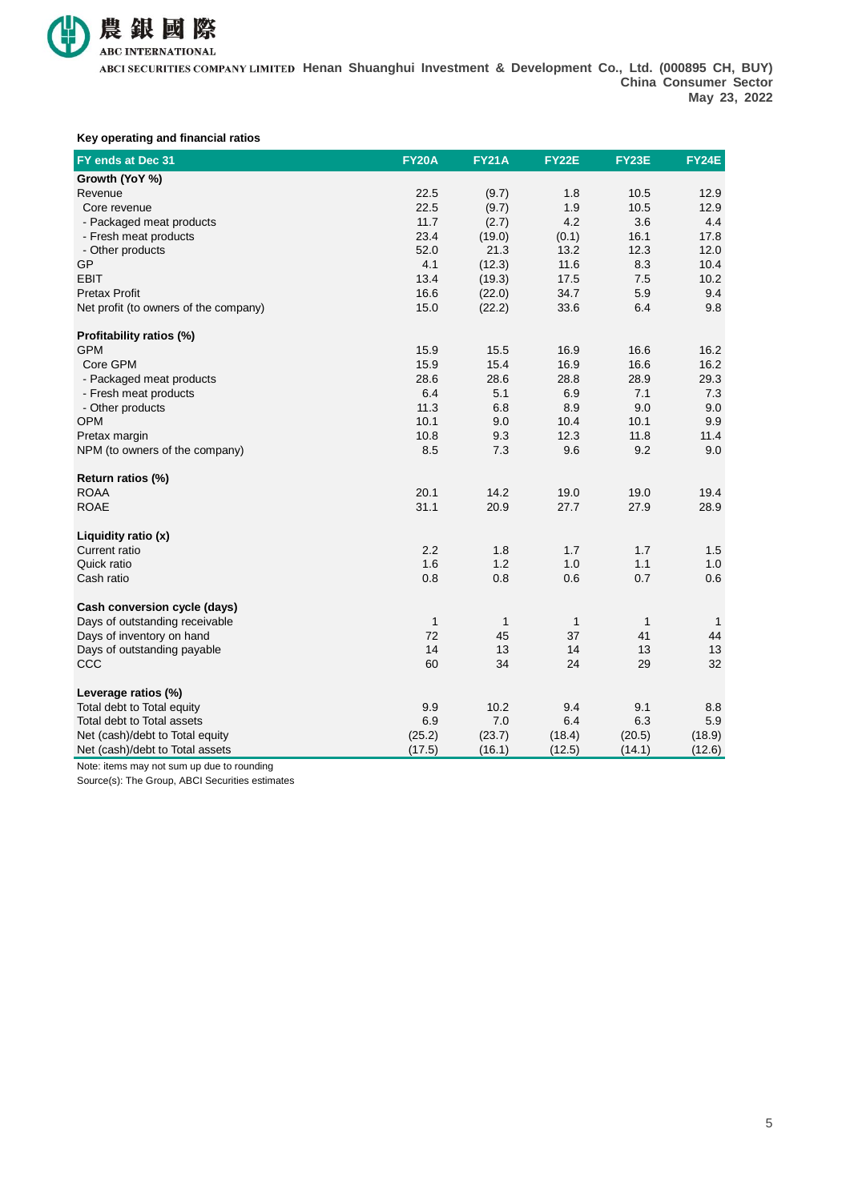

#### **Key operating and financial ratios**

| FY ends at Dec 31                     | <b>FY20A</b> | <b>FY21A</b> | <b>FY22E</b> | <b>FY23E</b> | FY24E        |
|---------------------------------------|--------------|--------------|--------------|--------------|--------------|
| Growth (YoY %)                        |              |              |              |              |              |
| Revenue                               | 22.5         | (9.7)        | 1.8          | 10.5         | 12.9         |
| Core revenue                          | 22.5         | (9.7)        | 1.9          | 10.5         | 12.9         |
| - Packaged meat products              | 11.7         | (2.7)        | 4.2          | 3.6          | 4.4          |
| - Fresh meat products                 | 23.4         | (19.0)       | (0.1)        | 16.1         | 17.8         |
| - Other products                      | 52.0         | 21.3         | 13.2         | 12.3         | 12.0         |
| GP                                    | 4.1          | (12.3)       | 11.6         | 8.3          | 10.4         |
| <b>EBIT</b>                           | 13.4         | (19.3)       | 17.5         | 7.5          | 10.2         |
| <b>Pretax Profit</b>                  | 16.6         | (22.0)       | 34.7         | 5.9          | 9.4          |
| Net profit (to owners of the company) | 15.0         | (22.2)       | 33.6         | 6.4          | 9.8          |
| Profitability ratios (%)              |              |              |              |              |              |
| <b>GPM</b>                            | 15.9         | 15.5         | 16.9         | 16.6         | 16.2         |
| Core GPM                              | 15.9         | 15.4         | 16.9         | 16.6         | 16.2         |
| - Packaged meat products              | 28.6         | 28.6         | 28.8         | 28.9         | 29.3         |
| - Fresh meat products                 | 6.4          | 5.1          | 6.9          | 7.1          | 7.3          |
| - Other products                      | 11.3         | 6.8          | 8.9          | 9.0          | 9.0          |
| <b>OPM</b>                            | 10.1         | 9.0          | 10.4         | 10.1         | 9.9          |
| Pretax margin                         | 10.8         | 9.3          | 12.3         | 11.8         | 11.4         |
| NPM (to owners of the company)        | 8.5          | 7.3          | 9.6          | 9.2          | 9.0          |
| Return ratios (%)                     |              |              |              |              |              |
| <b>ROAA</b>                           | 20.1         | 14.2         | 19.0         | 19.0         | 19.4         |
| <b>ROAE</b>                           | 31.1         | 20.9         | 27.7         | 27.9         | 28.9         |
| Liquidity ratio (x)                   |              |              |              |              |              |
| Current ratio                         | 2.2          | 1.8          | 1.7          | 1.7          | 1.5          |
| Quick ratio                           | 1.6          | 1.2          | 1.0          | 1.1          | 1.0          |
| Cash ratio                            | 0.8          | 0.8          | 0.6          | 0.7          | 0.6          |
| Cash conversion cycle (days)          |              |              |              |              |              |
| Days of outstanding receivable        | $\mathbf{1}$ | $\mathbf{1}$ | $\mathbf{1}$ | $\mathbf{1}$ | $\mathbf{1}$ |
| Days of inventory on hand             | 72           | 45           | 37           | 41           | 44           |
| Days of outstanding payable           | 14           | 13           | 14           | 13           | 13           |
| CCC                                   | 60           | 34           | 24           | 29           | 32           |
| Leverage ratios (%)                   |              |              |              |              |              |
| Total debt to Total equity            | 9.9          | 10.2         | 9.4          | 9.1          | 8.8          |
| Total debt to Total assets            | 6.9          | 7.0          | 6.4          | 6.3          | 5.9          |
| Net (cash)/debt to Total equity       | (25.2)       | (23.7)       | (18.4)       | (20.5)       | (18.9)       |
| Net (cash)/debt to Total assets       | (17.5)       | (16.1)       | (12.5)       | (14.1)       | (12.6)       |

Note: items may not sum up due to rounding

Source(s): The Group, ABCI Securities estimates